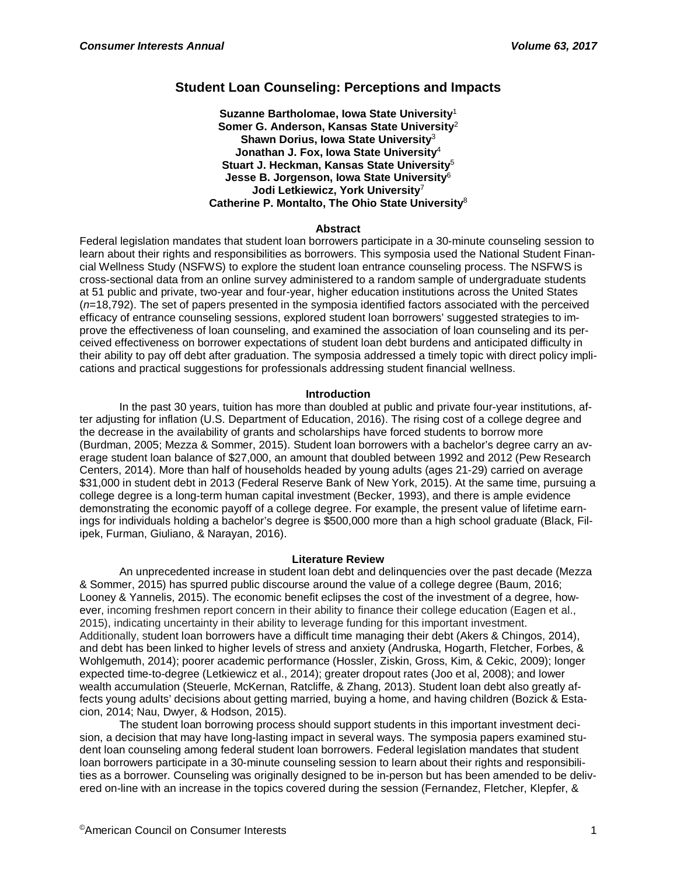# **Student Loan Counseling: Perceptions and Impacts**

**Suzanne Bartholomae, Iowa State University**<sup>1</sup> **Somer G. Anderson, Kansas State University**<sup>2</sup> **Shawn Dorius, Iowa State University**<sup>3</sup> **Jonathan J. Fox, Iowa State University**<sup>4</sup> **Stuart J. Heckman, Kansas State University**<sup>5</sup> **Jesse B. Jorgenson, Iowa State University**<sup>6</sup> **Jodi Letkiewicz, York University**<sup>7</sup> **Catherine P. Montalto, The Ohio State University**<sup>8</sup>

### **Abstract**

Federal legislation mandates that student loan borrowers participate in a 30-minute counseling session to learn about their rights and responsibilities as borrowers. This symposia used the National Student Financial Wellness Study (NSFWS) to explore the student loan entrance counseling process. The NSFWS is cross-sectional data from an online survey administered to a random sample of undergraduate students at 51 public and private, two-year and four-year, higher education institutions across the United States (*n*=18,792). The set of papers presented in the symposia identified factors associated with the perceived efficacy of entrance counseling sessions, explored student loan borrowers' suggested strategies to improve the effectiveness of loan counseling, and examined the association of loan counseling and its perceived effectiveness on borrower expectations of student loan debt burdens and anticipated difficulty in their ability to pay off debt after graduation. The symposia addressed a timely topic with direct policy implications and practical suggestions for professionals addressing student financial wellness.

# **Introduction**

In the past 30 years, tuition has more than doubled at public and private four-year institutions, after adjusting for inflation (U.S. Department of Education, 2016). The rising cost of a college degree and the decrease in the availability of grants and scholarships have forced students to borrow more (Burdman, 2005; Mezza & Sommer, 2015). Student loan borrowers with a bachelor's degree carry an average student loan balance of \$27,000, an amount that doubled between 1992 and 2012 (Pew Research Centers, 2014). More than half of households headed by young adults (ages 21-29) carried on average \$31,000 in student debt in 2013 (Federal Reserve Bank of New York, 2015). At the same time, pursuing a college degree is a long-term human capital investment (Becker, 1993), and there is ample evidence demonstrating the economic payoff of a college degree. For example, the present value of lifetime earnings for individuals holding a bachelor's degree is \$500,000 more than a high school graduate (Black, Filipek, Furman, Giuliano, & Narayan, 2016).

# **Literature Review**

An unprecedented increase in student loan debt and delinquencies over the past decade (Mezza & Sommer, 2015) has spurred public discourse around the value of a college degree (Baum, 2016; Looney & Yannelis, 2015). The economic benefit eclipses the cost of the investment of a degree, however, incoming freshmen report concern in their ability to finance their college education (Eagen et al., 2015), indicating uncertainty in their ability to leverage funding for this important investment. Additionally, student loan borrowers have a difficult time managing their debt (Akers & Chingos, 2014), and debt has been linked to higher levels of stress and anxiety (Andruska, Hogarth, Fletcher, Forbes, & Wohlgemuth, 2014); poorer academic performance (Hossler, Ziskin, Gross, Kim, & Cekic, 2009); longer expected time-to-degree (Letkiewicz et al., 2014); greater dropout rates (Joo et al, 2008); and lower wealth accumulation (Steuerle, McKernan, Ratcliffe, & Zhang, 2013). Student loan debt also greatly affects young adults' decisions about getting married, buying a home, and having children (Bozick & Estacion, 2014; Nau, Dwyer, & Hodson, 2015).

The student loan borrowing process should support students in this important investment decision, a decision that may have long-lasting impact in several ways. The symposia papers examined student loan counseling among federal student loan borrowers. Federal legislation mandates that student loan borrowers participate in a 30-minute counseling session to learn about their rights and responsibilities as a borrower. Counseling was originally designed to be in-person but has been amended to be delivered on-line with an increase in the topics covered during the session (Fernandez, Fletcher, Klepfer, &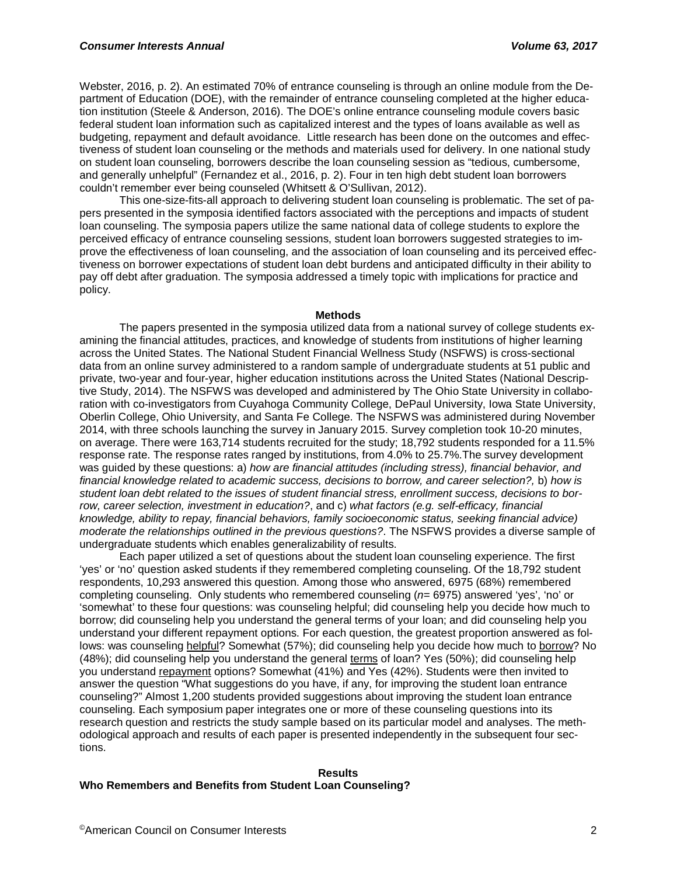Webster, 2016, p. 2). An estimated 70% of entrance counseling is through an online module from the Department of Education (DOE), with the remainder of entrance counseling completed at the higher education institution (Steele & Anderson, 2016). The DOE's online entrance counseling module covers basic federal student loan information such as capitalized interest and the types of loans available as well as budgeting, repayment and default avoidance. Little research has been done on the outcomes and effectiveness of student loan counseling or the methods and materials used for delivery. In one national study on student loan counseling, borrowers describe the loan counseling session as "tedious, cumbersome, and generally unhelpful" (Fernandez et al., 2016, p. 2). Four in ten high debt student loan borrowers couldn't remember ever being counseled (Whitsett & O'Sullivan, 2012).

This one-size-fits-all approach to delivering student loan counseling is problematic. The set of papers presented in the symposia identified factors associated with the perceptions and impacts of student loan counseling. The symposia papers utilize the same national data of college students to explore the perceived efficacy of entrance counseling sessions, student loan borrowers suggested strategies to improve the effectiveness of loan counseling, and the association of loan counseling and its perceived effectiveness on borrower expectations of student loan debt burdens and anticipated difficulty in their ability to pay off debt after graduation. The symposia addressed a timely topic with implications for practice and policy.

#### **Methods**

The papers presented in the symposia utilized data from a national survey of college students examining the financial attitudes, practices, and knowledge of students from institutions of higher learning across the United States. The National Student Financial Wellness Study (NSFWS) is cross-sectional data from an online survey administered to a random sample of undergraduate students at 51 public and private, two-year and four-year, higher education institutions across the United States (National Descriptive Study, 2014). The NSFWS was developed and administered by The Ohio State University in collaboration with co-investigators from Cuyahoga Community College, DePaul University, Iowa State University, Oberlin College, Ohio University, and Santa Fe College. The NSFWS was administered during November 2014, with three schools launching the survey in January 2015. Survey completion took 10-20 minutes, on average. There were 163,714 students recruited for the study; 18,792 students responded for a 11.5% response rate. The response rates ranged by institutions, from 4.0% to 25.7%.The survey development was guided by these questions: a) *how are financial attitudes (including stress), financial behavior, and financial knowledge related to academic success, decisions to borrow, and career selection?,* b) *how is student loan debt related to the issues of student financial stress, enrollment success, decisions to borrow, career selection, investment in education?*, and c) *what factors (e.g. self-efficacy, financial knowledge, ability to repay, financial behaviors, family socioeconomic status, seeking financial advice) moderate the relationships outlined in the previous questions?*. The NSFWS provides a diverse sample of undergraduate students which enables generalizability of results.

Each paper utilized a set of questions about the student loan counseling experience. The first 'yes' or 'no' question asked students if they remembered completing counseling. Of the 18,792 student respondents, 10,293 answered this question. Among those who answered, 6975 (68%) remembered completing counseling. Only students who remembered counseling (*n*= 6975) answered 'yes', 'no' or 'somewhat' to these four questions: was counseling helpful; did counseling help you decide how much to borrow; did counseling help you understand the general terms of your loan; and did counseling help you understand your different repayment options. For each question, the greatest proportion answered as follows: was counseling helpful? Somewhat (57%); did counseling help you decide how much to borrow? No (48%); did counseling help you understand the general terms of loan? Yes (50%); did counseling help you understand repayment options? Somewhat (41%) and Yes (42%). Students were then invited to answer the question "What suggestions do you have, if any, for improving the student loan entrance counseling?" Almost 1,200 students provided suggestions about improving the student loan entrance counseling. Each symposium paper integrates one or more of these counseling questions into its research question and restricts the study sample based on its particular model and analyses. The methodological approach and results of each paper is presented independently in the subsequent four sections.

#### **Results Who Remembers and Benefits from Student Loan Counseling?**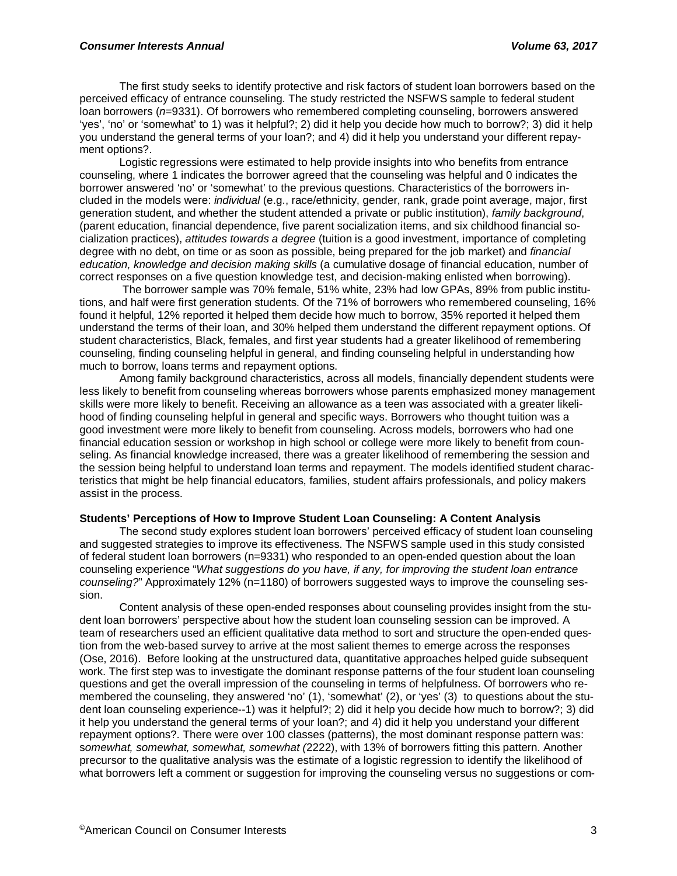The first study seeks to identify protective and risk factors of student loan borrowers based on the perceived efficacy of entrance counseling. The study restricted the NSFWS sample to federal student loan borrowers (*n*=9331). Of borrowers who remembered completing counseling, borrowers answered 'yes', 'no' or 'somewhat' to 1) was it helpful?; 2) did it help you decide how much to borrow?; 3) did it help you understand the general terms of your loan?; and 4) did it help you understand your different repayment options?.

Logistic regressions were estimated to help provide insights into who benefits from entrance counseling, where 1 indicates the borrower agreed that the counseling was helpful and 0 indicates the borrower answered 'no' or 'somewhat' to the previous questions. Characteristics of the borrowers included in the models were: *individual* (e.g., race/ethnicity, gender, rank, grade point average, major, first generation student, and whether the student attended a private or public institution), *family background*, (parent education, financial dependence, five parent socialization items, and six childhood financial socialization practices), *attitudes towards a degree* (tuition is a good investment, importance of completing degree with no debt, on time or as soon as possible, being prepared for the job market) and *financial education, knowledge and decision making skills* (a cumulative dosage of financial education, number of correct responses on a five question knowledge test, and decision-making enlisted when borrowing).

The borrower sample was 70% female, 51% white, 23% had low GPAs, 89% from public institutions, and half were first generation students. Of the 71% of borrowers who remembered counseling, 16% found it helpful, 12% reported it helped them decide how much to borrow, 35% reported it helped them understand the terms of their loan, and 30% helped them understand the different repayment options. Of student characteristics, Black, females, and first year students had a greater likelihood of remembering counseling, finding counseling helpful in general, and finding counseling helpful in understanding how much to borrow, loans terms and repayment options.

Among family background characteristics, across all models, financially dependent students were less likely to benefit from counseling whereas borrowers whose parents emphasized money management skills were more likely to benefit. Receiving an allowance as a teen was associated with a greater likelihood of finding counseling helpful in general and specific ways. Borrowers who thought tuition was a good investment were more likely to benefit from counseling. Across models, borrowers who had one financial education session or workshop in high school or college were more likely to benefit from counseling. As financial knowledge increased, there was a greater likelihood of remembering the session and the session being helpful to understand loan terms and repayment. The models identified student characteristics that might be help financial educators, families, student affairs professionals, and policy makers assist in the process.

# **Students' Perceptions of How to Improve Student Loan Counseling: A Content Analysis**

The second study explores student loan borrowers' perceived efficacy of student loan counseling and suggested strategies to improve its effectiveness. The NSFWS sample used in this study consisted of federal student loan borrowers (n=9331) who responded to an open-ended question about the loan counseling experience "*What suggestions do you have, if any, for improving the student loan entrance counseling?*" Approximately 12% (n=1180) of borrowers suggested ways to improve the counseling session.

Content analysis of these open-ended responses about counseling provides insight from the student loan borrowers' perspective about how the student loan counseling session can be improved. A team of researchers used an efficient qualitative data method to sort and structure the open-ended question from the web-based survey to arrive at the most salient themes to emerge across the responses (Ose, 2016). Before looking at the unstructured data, quantitative approaches helped guide subsequent work. The first step was to investigate the dominant response patterns of the four student loan counseling questions and get the overall impression of the counseling in terms of helpfulness. Of borrowers who remembered the counseling, they answered 'no' (1), 'somewhat' (2), or 'yes' (3) to questions about the student loan counseling experience--1) was it helpful?; 2) did it help you decide how much to borrow?; 3) did it help you understand the general terms of your loan?; and 4) did it help you understand your different repayment options?. There were over 100 classes (patterns), the most dominant response pattern was: s*omewhat, somewhat, somewhat, somewhat (*2222), with 13% of borrowers fitting this pattern. Another precursor to the qualitative analysis was the estimate of a logistic regression to identify the likelihood of what borrowers left a comment or suggestion for improving the counseling versus no suggestions or com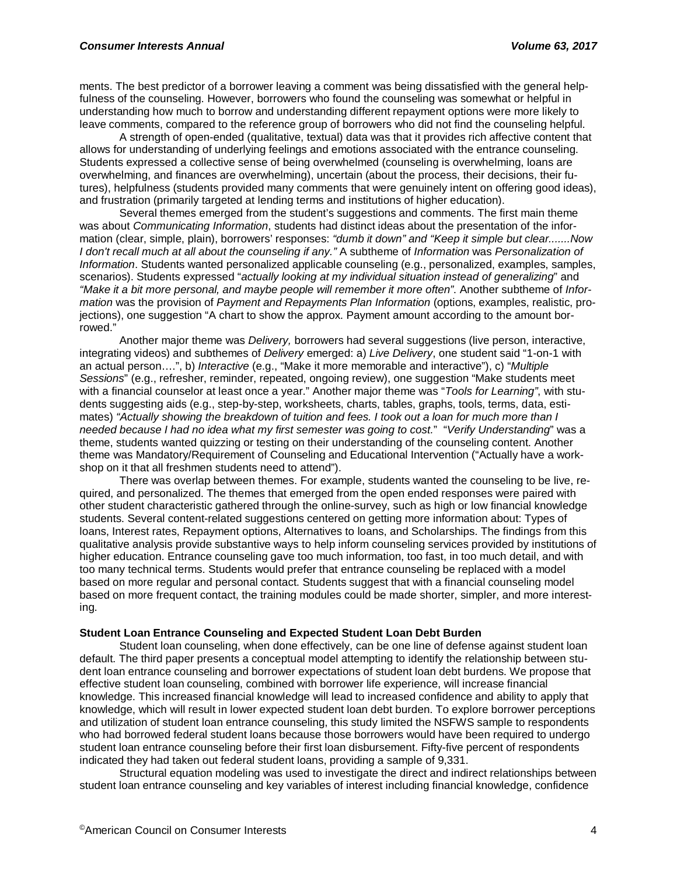ments. The best predictor of a borrower leaving a comment was being dissatisfied with the general helpfulness of the counseling. However, borrowers who found the counseling was somewhat or helpful in understanding how much to borrow and understanding different repayment options were more likely to leave comments, compared to the reference group of borrowers who did not find the counseling helpful.

A strength of open-ended (qualitative, textual) data was that it provides rich affective content that allows for understanding of underlying feelings and emotions associated with the entrance counseling. Students expressed a collective sense of being overwhelmed (counseling is overwhelming, loans are overwhelming, and finances are overwhelming), uncertain (about the process, their decisions, their futures), helpfulness (students provided many comments that were genuinely intent on offering good ideas), and frustration (primarily targeted at lending terms and institutions of higher education).

Several themes emerged from the student's suggestions and comments. The first main theme was about *Communicating Information*, students had distinct ideas about the presentation of the information (clear, simple, plain), borrowers' responses: *"dumb it down" and "Keep it simple but clear.......Now I don't recall much at all about the counseling if any."* A subtheme of *Information* was *Personalization of Information*. Students wanted personalized applicable counseling (e.g., personalized, examples, samples, scenarios). Students expressed "*actually looking at my individual situation instead of generalizing*" and *"Make it a bit more personal, and maybe people will remember it more often"*. Another subtheme of *Information* was the provision of *Payment and Repayments Plan Information* (options, examples, realistic, projections), one suggestion "A chart to show the approx. Payment amount according to the amount borrowed."

Another major theme was *Delivery,* borrowers had several suggestions (live person, interactive, integrating videos) and subthemes of *Delivery* emerged: a) *Live Delivery*, one student said "1-on-1 with an actual person….", b) *Interactive* (e.g., "Make it more memorable and interactive"), c) "*Multiple Sessions*" (e.g., refresher, reminder, repeated, ongoing review), one suggestion "Make students meet with a financial counselor at least once a year." Another major theme was "*Tools for Learning"*, with students suggesting aids (e.g., step-by-step, worksheets, charts, tables, graphs, tools, terms, data, estimates) *"Actually showing the breakdown of tuition and fees. I took out a loan for much more than I needed because I had no idea what my first semester was going to cost.*" "*Verify Understanding*" was a theme, students wanted quizzing or testing on their understanding of the counseling content. Another theme was Mandatory/Requirement of Counseling and Educational Intervention ("Actually have a workshop on it that all freshmen students need to attend").

There was overlap between themes. For example, students wanted the counseling to be live, required, and personalized. The themes that emerged from the open ended responses were paired with other student characteristic gathered through the online-survey, such as high or low financial knowledge students. Several content-related suggestions centered on getting more information about: Types of loans, Interest rates, Repayment options, Alternatives to loans, and Scholarships. The findings from this qualitative analysis provide substantive ways to help inform counseling services provided by institutions of higher education. Entrance counseling gave too much information, too fast, in too much detail, and with too many technical terms. Students would prefer that entrance counseling be replaced with a model based on more regular and personal contact. Students suggest that with a financial counseling model based on more frequent contact, the training modules could be made shorter, simpler, and more interesting.

#### **Student Loan Entrance Counseling and Expected Student Loan Debt Burden**

Student loan counseling, when done effectively, can be one line of defense against student loan default. The third paper presents a conceptual model attempting to identify the relationship between student loan entrance counseling and borrower expectations of student loan debt burdens. We propose that effective student loan counseling, combined with borrower life experience, will increase financial knowledge. This increased financial knowledge will lead to increased confidence and ability to apply that knowledge, which will result in lower expected student loan debt burden. To explore borrower perceptions and utilization of student loan entrance counseling, this study limited the NSFWS sample to respondents who had borrowed federal student loans because those borrowers would have been required to undergo student loan entrance counseling before their first loan disbursement. Fifty-five percent of respondents indicated they had taken out federal student loans, providing a sample of 9,331.

Structural equation modeling was used to investigate the direct and indirect relationships between student loan entrance counseling and key variables of interest including financial knowledge, confidence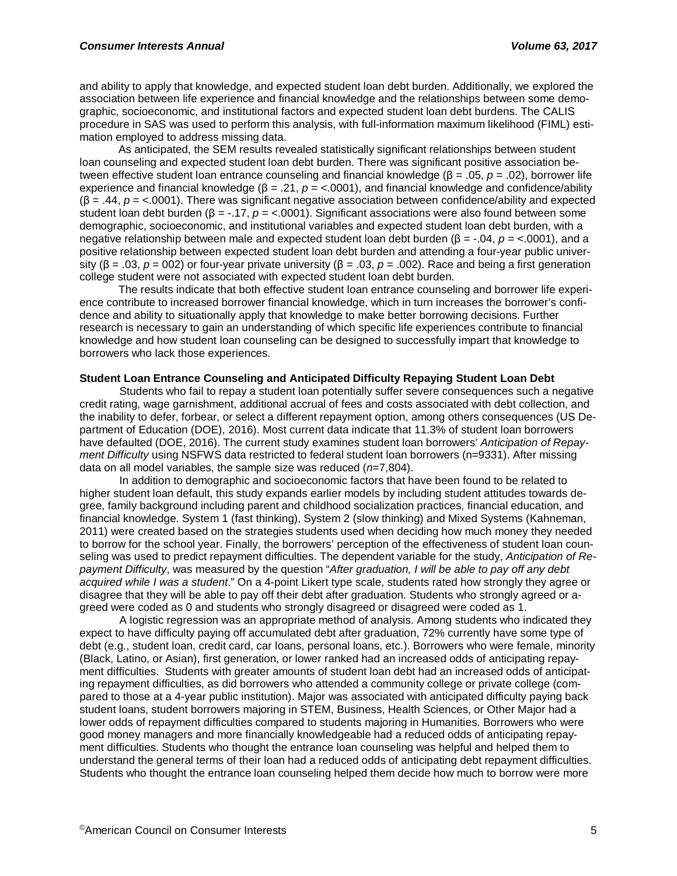and ability to apply that knowledge, and expected student loan debt burden. Additionally, we explored the association between life experience and financial knowledge and the relationships between some demographic, socioeconomic, and institutional factors and expected student loan debt burdens. The CALIS procedure in SAS was used to perform this analysis, with full-information maximum likelihood (FIML) estimation employed to address missing data.

As anticipated, the SEM results revealed statistically significant relationships between student loan counseling and expected student loan debt burden. There was significant positive association between effective student loan entrance counseling and financial knowledge (β = .05, *p* = .02), borrower life experience and financial knowledge ( $β = .21$ ,  $p = <.0001$ ), and financial knowledge and confidence/ability (β = .44, *p* = <.0001). There was significant negative association between confidence/ability and expected student loan debt burden (β = -.17, *p* = <.0001). Significant associations were also found between some demographic, socioeconomic, and institutional variables and expected student loan debt burden, with a negative relationship between male and expected student loan debt burden (β = -.04, *p* = <.0001), and a positive relationship between expected student loan debt burden and attending a four-year public university (β = .03, *p* = 002) or four-year private university (β = .03, *p* = .002). Race and being a first generation college student were not associated with expected student loan debt burden.

The results indicate that both effective student loan entrance counseling and borrower life experience contribute to increased borrower financial knowledge, which in turn increases the borrower's confidence and ability to situationally apply that knowledge to make better borrowing decisions. Further research is necessary to gain an understanding of which specific life experiences contribute to financial knowledge and how student loan counseling can be designed to successfully impart that knowledge to borrowers who lack those experiences.

# **Student Loan Entrance Counseling and Anticipated Difficulty Repaying Student Loan Debt**

Students who fail to repay a student loan potentially suffer severe consequences such a negative credit rating, wage garnishment, additional accrual of fees and costs associated with debt collection, and the inability to defer, forbear, or select a different repayment option, among others consequences (US Department of Education (DOE), 2016). Most current data indicate that 11.3% of student loan borrowers have defaulted (DOE, 2016). The current study examines student loan borrowers' *Anticipation of Repayment Difficulty* using NSFWS data restricted to federal student loan borrowers (n=9331). After missing data on all model variables, the sample size was reduced (*n*=7,804).

In addition to demographic and socioeconomic factors that have been found to be related to higher student loan default, this study expands earlier models by including student attitudes towards degree, family background including parent and childhood socialization practices, financial education, and financial knowledge. System 1 (fast thinking), System 2 (slow thinking) and Mixed Systems (Kahneman, 2011) were created based on the strategies students used when deciding how much money they needed to borrow for the school year. Finally, the borrowers' perception of the effectiveness of student loan counseling was used to predict repayment difficulties. The dependent variable for the study, *Anticipation of Repayment Difficulty*, was measured by the question "*After graduation, I will be able to pay off any debt acquired while I was a student*." On a 4-point Likert type scale, students rated how strongly they agree or disagree that they will be able to pay off their debt after graduation. Students who strongly agreed or agreed were coded as 0 and students who strongly disagreed or disagreed were coded as 1.

A logistic regression was an appropriate method of analysis. Among students who indicated they expect to have difficulty paying off accumulated debt after graduation, 72% currently have some type of debt (e.g., student loan, credit card, car loans, personal loans, etc.). Borrowers who were female, minority (Black, Latino, or Asian), first generation, or lower ranked had an increased odds of anticipating repayment difficulties. Students with greater amounts of student loan debt had an increased odds of anticipating repayment difficulties, as did borrowers who attended a community college or private college (compared to those at a 4-year public institution). Major was associated with anticipated difficulty paying back student loans, student borrowers majoring in STEM, Business, Health Sciences, or Other Major had a lower odds of repayment difficulties compared to students majoring in Humanities. Borrowers who were good money managers and more financially knowledgeable had a reduced odds of anticipating repayment difficulties. Students who thought the entrance loan counseling was helpful and helped them to understand the general terms of their loan had a reduced odds of anticipating debt repayment difficulties. Students who thought the entrance loan counseling helped them decide how much to borrow were more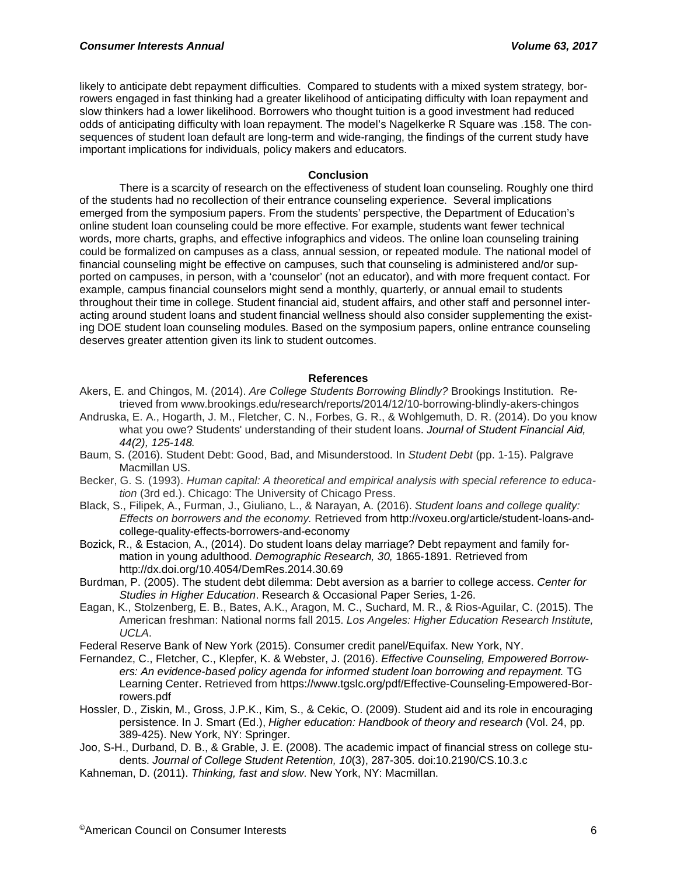likely to anticipate debt repayment difficulties. Compared to students with a mixed system strategy, borrowers engaged in fast thinking had a greater likelihood of anticipating difficulty with loan repayment and slow thinkers had a lower likelihood. Borrowers who thought tuition is a good investment had reduced odds of anticipating difficulty with loan repayment. The model's Nagelkerke R Square was .158. The consequences of student loan default are long-term and wide-ranging, the findings of the current study have important implications for individuals, policy makers and educators.

#### **Conclusion**

There is a scarcity of research on the effectiveness of student loan counseling. Roughly one third of the students had no recollection of their entrance counseling experience. Several implications emerged from the symposium papers. From the students' perspective, the Department of Education's online student loan counseling could be more effective. For example, students want fewer technical words, more charts, graphs, and effective infographics and videos. The online loan counseling training could be formalized on campuses as a class, annual session, or repeated module. The national model of financial counseling might be effective on campuses, such that counseling is administered and/or supported on campuses, in person, with a 'counselor' (not an educator), and with more frequent contact. For example, campus financial counselors might send a monthly, quarterly, or annual email to students throughout their time in college. Student financial aid, student affairs, and other staff and personnel interacting around student loans and student financial wellness should also consider supplementing the existing DOE student loan counseling modules. Based on the symposium papers, online entrance counseling deserves greater attention given its link to student outcomes.

#### **References**

- Akers, E. and Chingos, M. (2014). *Are College Students Borrowing Blindly?* Brookings Institution. Retrieved from www.brookings.edu/research/reports/2014/12/10-borrowing-blindly-akers-chingos
- Andruska, E. A., Hogarth, J. M., Fletcher, C. N., Forbes, G. R., & Wohlgemuth, D. R. (2014). Do you know what you owe? Students' understanding of their student loans. *Journal of Student Financial Aid, 44(2), 125-148.*
- Baum, S. (2016). Student Debt: Good, Bad, and Misunderstood. In *Student Debt* (pp. 1-15). Palgrave Macmillan US.
- Becker, G. S. (1993). *Human capital: A theoretical and empirical analysis with special reference to education* (3rd ed.). Chicago: The University of Chicago Press.
- Black, S., Filipek, A., Furman, J., Giuliano, L., & Narayan, A. (2016). *Student loans and college quality: Effects on borrowers and the economy.* Retrieved from [http://voxeu.org/article/student-loans-and](http://voxeu.org/article/student-loans-and-college-quality-effects-borrowers-and-economy)[college-quality-effects-borrowers-and-economy](http://voxeu.org/article/student-loans-and-college-quality-effects-borrowers-and-economy)
- Bozick, R., & Estacion, A., (2014). Do student loans delay marriage? Debt repayment and family formation in young adulthood. *Demographic Research, 30,* 1865-1891. Retrieved from <http://dx.doi.org/10.4054/DemRes.2014.30.69>
- Burdman, P. (2005). The student debt dilemma: Debt aversion as a barrier to college access. *Center for Studies in Higher Education*. Research & Occasional Paper Series, 1-26.
- Eagan, K., Stolzenberg, E. B., Bates, A.K., Aragon, M. C., Suchard, M. R., & Rios-Aguilar, C. (2015). The American freshman: National norms fall 2015. *Los Angeles: Higher Education Research Institute, UCLA*.
- Federal Reserve Bank of New York (2015). Consumer credit panel/Equifax. New York, NY.
- Fernandez, C., Fletcher, C., Klepfer, K. & Webster, J. (2016). *Effective Counseling, Empowered Borrowers: An evidence-based policy agenda for informed student loan borrowing and repayment.* TG Learning Center. Retrieved from https://www.tgslc.org/pdf/Effective-Counseling-Empowered-Borrowers.pdf
- Hossler, D., Ziskin, M., Gross, J.P.K., Kim, S., & Cekic, O. (2009). Student aid and its role in encouraging persistence. In J. Smart (Ed.), *Higher education: Handbook of theory and research* (Vol. 24, pp. 389-425). New York, NY: Springer.
- Joo, S-H., Durband, D. B., & Grable, J. E. (2008). The academic impact of financial stress on college students. *Journal of College Student Retention, 10*(3), 287-305. doi:10.2190/CS.10.3.c
- Kahneman, D. (2011). *Thinking, fast and slow*. New York, NY: Macmillan.